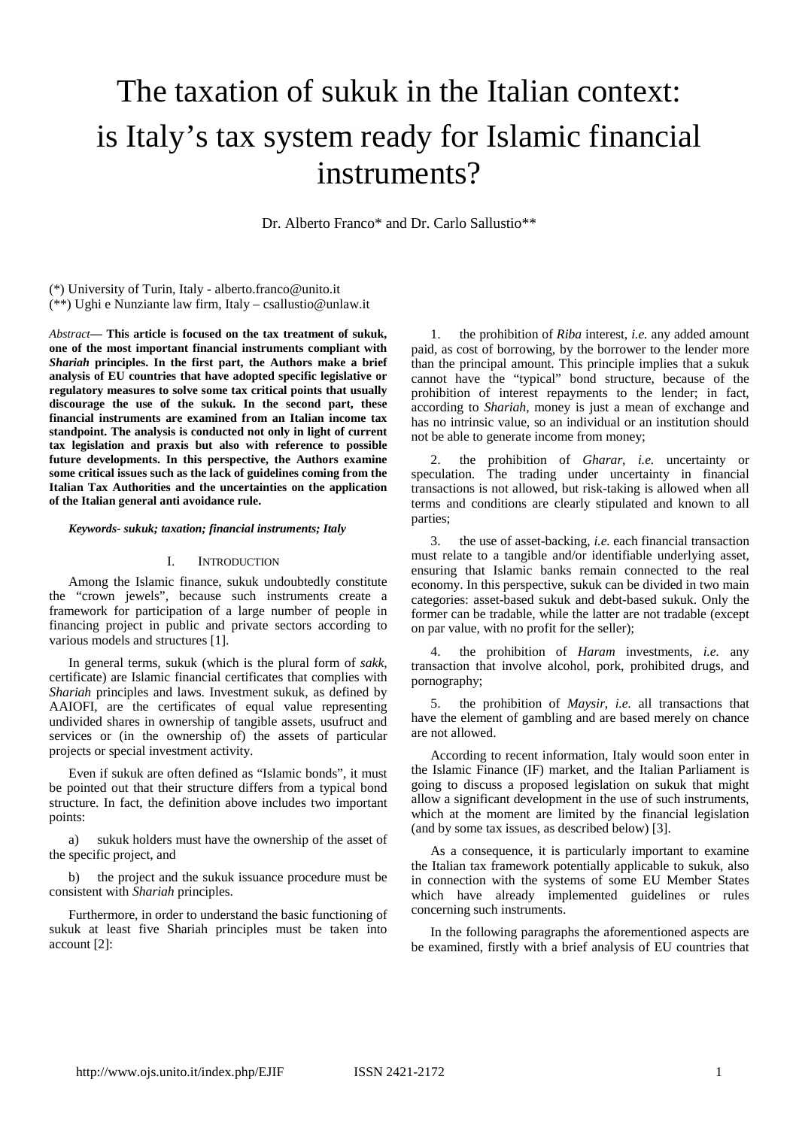# The taxation of sukuk in the Italian context: is Italy's tax system ready for Islamic financial instruments?

Dr. Alberto Franco\* and Dr. Carlo Sallustio\*\*

(\*) University of Turin, Italy - alberto.franco@unito.it

(\*\*) Ughi e Nunziante law firm, Italy – csallustio@unlaw.it

*Abstract***— This article is focused on the tax treatment of sukuk, one of the most important financial instruments compliant with**  *Shariah* **principles. In the first part, the Authors make a brief analysis of EU countries that have adopted specific legislative or regulatory measures to solve some tax critical points that usually discourage the use of the sukuk. In the second part, these financial instruments are examined from an Italian income tax standpoint. The analysis is conducted not only in light of current tax legislation and praxis but also with reference to possible future developments. In this perspective, the Authors examine some critical issues such as the lack of guidelines coming from the Italian Tax Authorities and the uncertainties on the application of the Italian general anti avoidance rule.**

#### *Keywords- sukuk; taxation; financial instruments; Italy*

#### I. INTRODUCTION

Among the Islamic finance, sukuk undoubtedly constitute the "crown jewels", because such instruments create a framework for participation of a large number of people in financing project in public and private sectors according to various models and structures [1].

In general terms, sukuk (which is the plural form of *sakk*, certificate) are Islamic financial certificates that complies with *Shariah* principles and laws. Investment sukuk, as defined by AAIOFI, are the certificates of equal value representing undivided shares in ownership of tangible assets, usufruct and services or (in the ownership of) the assets of particular projects or special investment activity.

Even if sukuk are often defined as "Islamic bonds", it must be pointed out that their structure differs from a typical bond structure. In fact, the definition above includes two important points:

a) sukuk holders must have the ownership of the asset of the specific project, and

b) the project and the sukuk issuance procedure must be consistent with *Shariah* principles.

Furthermore, in order to understand the basic functioning of sukuk at least five Shariah principles must be taken into account [2]:

1. the prohibition of *Riba* interest, *i.e.* any added amount paid, as cost of borrowing, by the borrower to the lender more than the principal amount. This principle implies that a sukuk cannot have the "typical" bond structure, because of the prohibition of interest repayments to the lender; in fact, according to *Shariah*, money is just a mean of exchange and has no intrinsic value, so an individual or an institution should not be able to generate income from money;

2. the prohibition of *Gharar*, *i.e.* uncertainty or speculation. The trading under uncertainty in financial transactions is not allowed, but risk-taking is allowed when all terms and conditions are clearly stipulated and known to all parties;

3. the use of asset-backing, *i.e.* each financial transaction must relate to a tangible and/or identifiable underlying asset, ensuring that Islamic banks remain connected to the real economy. In this perspective, sukuk can be divided in two main categories: asset-based sukuk and debt-based sukuk. Only the former can be tradable, while the latter are not tradable (except on par value, with no profit for the seller);

4. the prohibition of *Haram* investments, *i.e.* any transaction that involve alcohol, pork, prohibited drugs, and pornography;

5. the prohibition of *Maysir*, *i.e.* all transactions that have the element of gambling and are based merely on chance are not allowed.

According to recent information, Italy would soon enter in the Islamic Finance (IF) market, and the Italian Parliament is going to discuss a proposed legislation on sukuk that might allow a significant development in the use of such instruments, which at the moment are limited by the financial legislation (and by some tax issues, as described below) [3].

As a consequence, it is particularly important to examine the Italian tax framework potentially applicable to sukuk, also in connection with the systems of some EU Member States which have already implemented guidelines or rules concerning such instruments.

In the following paragraphs the aforementioned aspects are be examined, firstly with a brief analysis of EU countries that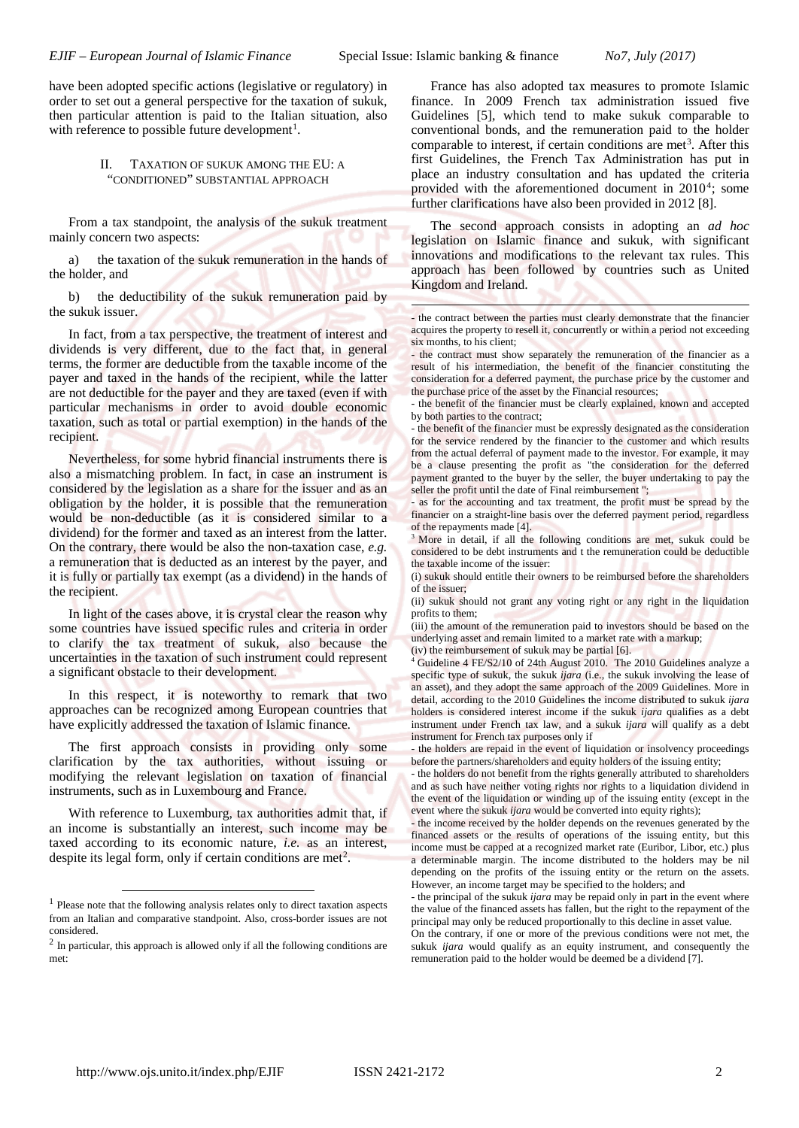1

have been adopted specific actions (legislative or regulatory) in order to set out a general perspective for the taxation of sukuk, then particular attention is paid to the Italian situation, also with reference to possible future development<sup>[1](#page-1-0)</sup>.

### II. TAXATION OF SUKUK AMONG THE EU: A "CONDITIONED" SUBSTANTIAL APPROACH

From a tax standpoint, the analysis of the sukuk treatment mainly concern two aspects:

a) the taxation of the sukuk remuneration in the hands of the holder, and

b) the deductibility of the sukuk remuneration paid by the sukuk issuer.

In fact, from a tax perspective, the treatment of interest and dividends is very different, due to the fact that, in general terms, the former are deductible from the taxable income of the payer and taxed in the hands of the recipient, while the latter are not deductible for the payer and they are taxed (even if with particular mechanisms in order to avoid double economic taxation, such as total or partial exemption) in the hands of the recipient.

Nevertheless, for some hybrid financial instruments there is also a mismatching problem. In fact, in case an instrument is considered by the legislation as a share for the issuer and as an obligation by the holder, it is possible that the remuneration would be non-deductible (as it is considered similar to a dividend) for the former and taxed as an interest from the latter. On the contrary, there would be also the non-taxation case, *e.g.*  a remuneration that is deducted as an interest by the payer, and it is fully or partially tax exempt (as a dividend) in the hands of the recipient.

<span id="page-1-2"></span>In light of the cases above, it is crystal clear the reason why some countries have issued specific rules and criteria in order to clarify the tax treatment of sukuk, also because the uncertainties in the taxation of such instrument could represent a significant obstacle to their development.

<span id="page-1-3"></span>In this respect, it is noteworthy to remark that two approaches can be recognized among European countries that have explicitly addressed the taxation of Islamic finance.

The first approach consists in providing only some clarification by the tax authorities, without issuing or modifying the relevant legislation on taxation of financial instruments, such as in Luxembourg and France.

With reference to Luxemburg, tax authorities admit that, if an income is substantially an interest, such income may be taxed according to its economic nature, *i.e.* as an interest, despite its legal form, only if certain conditions are met<sup>[2](#page-1-1)</sup>.

France has also adopted tax measures to promote Islamic finance. In 2009 French tax administration issued five Guidelines [5], which tend to make sukuk comparable to conventional bonds, and the remuneration paid to the holder comparable to interest, if certain conditions are met<sup>[3](#page-1-2)</sup>. After this first Guidelines, the French Tax Administration has put in place an industry consultation and has updated the criteria provided with the aforementioned document in 2010[4](#page-1-3); some further clarifications have also been provided in 2012 [8].

The second approach consists in adopting an *ad hoc* legislation on Islamic finance and sukuk, with significant innovations and modifications to the relevant tax rules. This approach has been followed by countries such as United Kingdom and Ireland.

- the contract between the parties must clearly demonstrate that the financier acquires the property to resell it, concurrently or within a period not exceeding six months, to his client;

- the contract must show separately the remuneration of the financier as a result of his intermediation, the benefit of the financier constituting the consideration for a deferred payment, the purchase price by the customer and the purchase price of the asset by the Financial resources;

- the benefit of the financier must be clearly explained, known and accepted by both parties to the contract;

- the benefit of the financier must be expressly designated as the consideration for the service rendered by the financier to the customer and which results from the actual deferral of payment made to the investor. For example, it may be a clause presenting the profit as "the consideration for the deferred payment granted to the buyer by the seller, the buyer undertaking to pay the seller the profit until the date of Final reimbursement ";

as for the accounting and tax treatment, the profit must be spread by the financier on a straight-line basis over the deferred payment period, regardless of the repayments made [4].

<sup>3</sup> More in detail, if all the following conditions are met, sukuk could be considered to be debt instruments and t the remuneration could be deductible the taxable income of the issuer:

(i) sukuk should entitle their owners to be reimbursed before the shareholders of the issuer;

(ii) sukuk should not grant any voting right or any right in the liquidation profits to them;

(iii) the amount of the remuneration paid to investors should be based on the underlying asset and remain limited to a market rate with a markup; (iv) the reimbursement of sukuk may be partial [6].

<sup>4</sup> Guideline 4 FE/S2/10 of 24th August 2010. The 2010 Guidelines analyze a specific type of sukuk, the sukuk *ijara* (i.e., the sukuk involving the lease of an asset), and they adopt the same approach of the 2009 Guidelines. More in detail, according to the 2010 Guidelines the income distributed to sukuk *ijara* holders is considered interest income if the sukuk *ijara* qualifies as a debt instrument under French tax law, and a sukuk *ijara* will qualify as a debt instrument for French tax purposes only if

- the holders are repaid in the event of liquidation or insolvency proceedings before the partners/shareholders and equity holders of the issuing entity;

- the holders do not benefit from the rights generally attributed to shareholders and as such have neither voting rights nor rights to a liquidation dividend in the event of the liquidation or winding up of the issuing entity (except in the event where the sukuk *ijara* would be converted into equity rights);

- the income received by the holder depends on the revenues generated by the financed assets or the results of operations of the issuing entity, but this income must be capped at a recognized market rate (Euribor, Libor, etc.) plus a determinable margin. The income distributed to the holders may be nil depending on the profits of the issuing entity or the return on the assets. However, an income target may be specified to the holders; and

- the principal of the sukuk *ijara* may be repaid only in part in the event where the value of the financed assets has fallen, but the right to the repayment of the principal may only be reduced proportionally to this decline in asset value.

On the contrary, if one or more of the previous conditions were not met, the sukuk *ijara* would qualify as an equity instrument, and consequently the remuneration paid to the holder would be deemed be a dividend [7].

-

<span id="page-1-0"></span><sup>&</sup>lt;sup>1</sup> Please note that the following analysis relates only to direct taxation aspects from an Italian and comparative standpoint. Also, cross-border issues are not considered.

<span id="page-1-1"></span><sup>2</sup> In particular, this approach is allowed only if all the following conditions are met: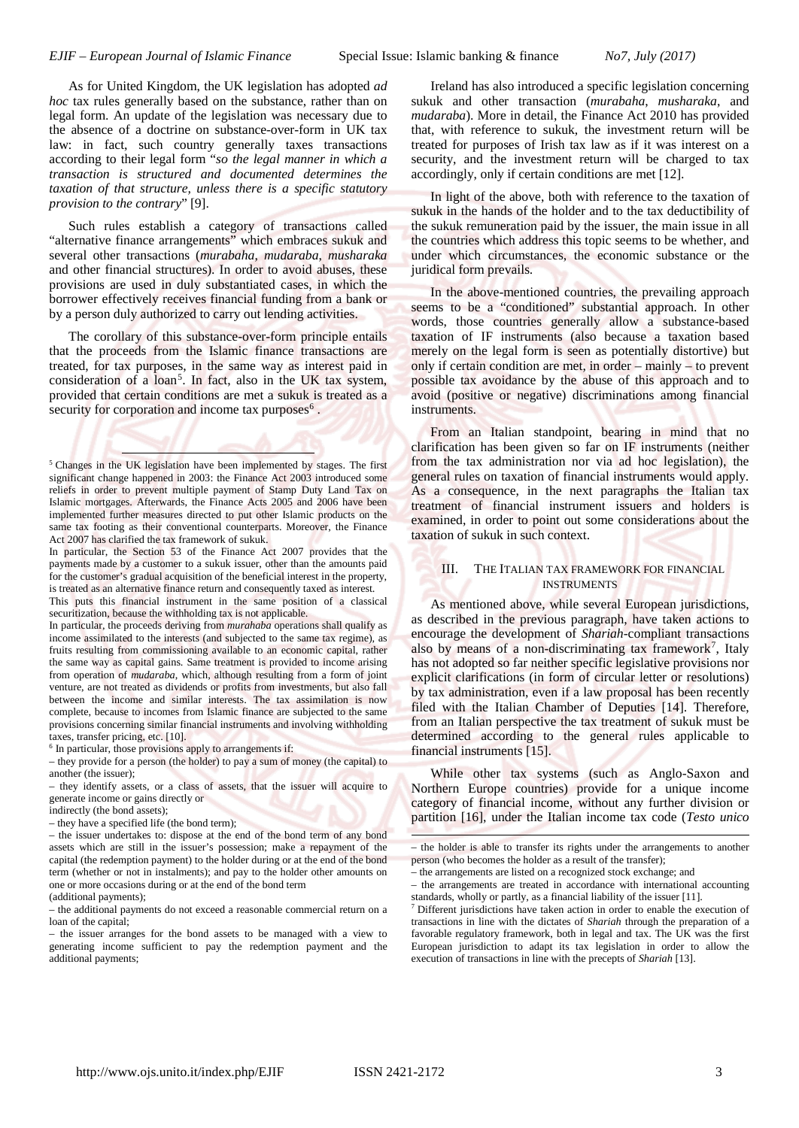As for United Kingdom, the UK legislation has adopted *ad hoc* tax rules generally based on the substance, rather than on legal form. An update of the legislation was necessary due to the absence of a doctrine on substance-over-form in UK tax law: in fact, such country generally taxes transactions according to their legal form "*so the legal manner in which a transaction is structured and documented determines the taxation of that structure, unless there is a specific statutory provision to the contrary*" [9].

Such rules establish a category of transactions called "alternative finance arrangements" which embraces sukuk and several other transactions (*murabaha*, *mudaraba*, *musharaka* and other financial structures). In order to avoid abuses, these provisions are used in duly substantiated cases, in which the borrower effectively receives financial funding from a bank or by a person duly authorized to carry out lending activities.

The corollary of this substance-over-form principle entails that the proceeds from the Islamic finance transactions are treated, for tax purposes, in the same way as interest paid in consideration of a loan<sup>[5](#page-2-0)</sup>. In fact, also in the UK tax system, provided that certain conditions are met a sukuk is treated as a security for corporation and income tax purposes<sup>[6](#page-2-1)</sup>.

This puts this financial instrument in the same position of a classical securitization, because the withholding tax is not applicable.

In particular, the proceeds deriving from *murahaba* operations shall qualify as income assimilated to the interests (and subjected to the same tax regime), as fruits resulting from commissioning available to an economic capital, rather the same way as capital gains. Same treatment is provided to income arising from operation of *mudaraba*, which, although resulting from a form of joint venture, are not treated as dividends or profits from investments, but also fall between the income and similar interests. The tax assimilation is now complete, because to incomes from Islamic finance are subjected to the same provisions concerning similar financial instruments and involving withholding taxes, transfer pricing, etc. [10].

<span id="page-2-1"></span> $<sup>6</sup>$  In particular, those provisions apply to arrangements if:</sup>

– they provide for a person (the holder) to pay a sum of money (the capital) to another (the issuer);

– they identify assets, or a class of assets, that the issuer will acquire to generate income or gains directly or

indirectly (the bond assets);

1

– they have a specified life (the bond term);

– the issuer undertakes to: dispose at the end of the bond term of any bond assets which are still in the issuer's possession; make a repayment of the capital (the redemption payment) to the holder during or at the end of the bond term (whether or not in instalments); and pay to the holder other amounts on one or more occasions during or at the end of the bond term

(additional payments);

<span id="page-2-2"></span>– the additional payments do not exceed a reasonable commercial return on a loan of the capital;

– the issuer arranges for the bond assets to be managed with a view to generating income sufficient to pay the redemption payment and the additional payments;

Ireland has also introduced a specific legislation concerning sukuk and other transaction (*murabaha*, *musharaka*, and *mudaraba*). More in detail, the Finance Act 2010 has provided that, with reference to sukuk, the investment return will be treated for purposes of Irish tax law as if it was interest on a security, and the investment return will be charged to tax accordingly, only if certain conditions are met [12].

In light of the above, both with reference to the taxation of sukuk in the hands of the holder and to the tax deductibility of the sukuk remuneration paid by the issuer, the main issue in all the countries which address this topic seems to be whether, and under which circumstances, the economic substance or the juridical form prevails.

In the above-mentioned countries, the prevailing approach seems to be a "conditioned" substantial approach. In other words, those countries generally allow a substance-based taxation of IF instruments (also because a taxation based merely on the legal form is seen as potentially distortive) but only if certain condition are met, in order – mainly – to prevent possible tax avoidance by the abuse of this approach and to avoid (positive or negative) discriminations among financial instruments.

From an Italian standpoint, bearing in mind that no clarification has been given so far on IF instruments (neither from the tax administration nor via ad hoc legislation), the general rules on taxation of financial instruments would apply. As a consequence, in the next paragraphs the Italian tax treatment of financial instrument issuers and holders is examined, in order to point out some considerations about the taxation of sukuk in such context.

## III. THE ITALIAN TAX FRAMEWORK FOR FINANCIAL INSTRUMENTS

As mentioned above, while several European jurisdictions, as described in the previous paragraph, have taken actions to encourage the development of *Shariah*-compliant transactions also by means of a non-discriminating tax framework<sup>[7](#page-2-2)</sup>, Italy has not adopted so far neither specific legislative provisions nor explicit clarifications (in form of circular letter or resolutions) by tax administration, even if a law proposal has been recently filed with the Italian Chamber of Deputies [14]. Therefore, from an Italian perspective the tax treatment of sukuk must be determined according to the general rules applicable to financial instruments [15].

While other tax systems (such as Anglo-Saxon and Northern Europe countries) provide for a unique income category of financial income, without any further division or partition [16], under the Italian income tax code (*Testo unico* 

1

<span id="page-2-0"></span><sup>&</sup>lt;sup>5</sup> Changes in the UK legislation have been implemented by stages. The first significant change happened in 2003: the Finance Act 2003 introduced some reliefs in order to prevent multiple payment of Stamp Duty Land Tax on Islamic mortgages. Afterwards, the Finance Acts 2005 and 2006 have been implemented further measures directed to put other Islamic products on the same tax footing as their conventional counterparts. Moreover, the Finance Act 2007 has clarified the tax framework of sukuk.

In particular, the Section 53 of the Finance Act 2007 provides that the payments made by a customer to a sukuk issuer, other than the amounts paid for the customer's gradual acquisition of the beneficial interest in the property, is treated as an alternative finance return and consequently taxed as interest.

<sup>–</sup> the holder is able to transfer its rights under the arrangements to another person (who becomes the holder as a result of the transfer);

<sup>–</sup> the arrangements are listed on a recognized stock exchange; and

<sup>–</sup> the arrangements are treated in accordance with international accounting standards, wholly or partly, as a financial liability of the issuer [11].

<sup>7</sup> Different jurisdictions have taken action in order to enable the execution of transactions in line with the dictates of *Shariah* through the preparation of a favorable regulatory framework, both in legal and tax. The UK was the first European jurisdiction to adapt its tax legislation in order to allow the execution of transactions in line with the precepts of *Shariah* [13].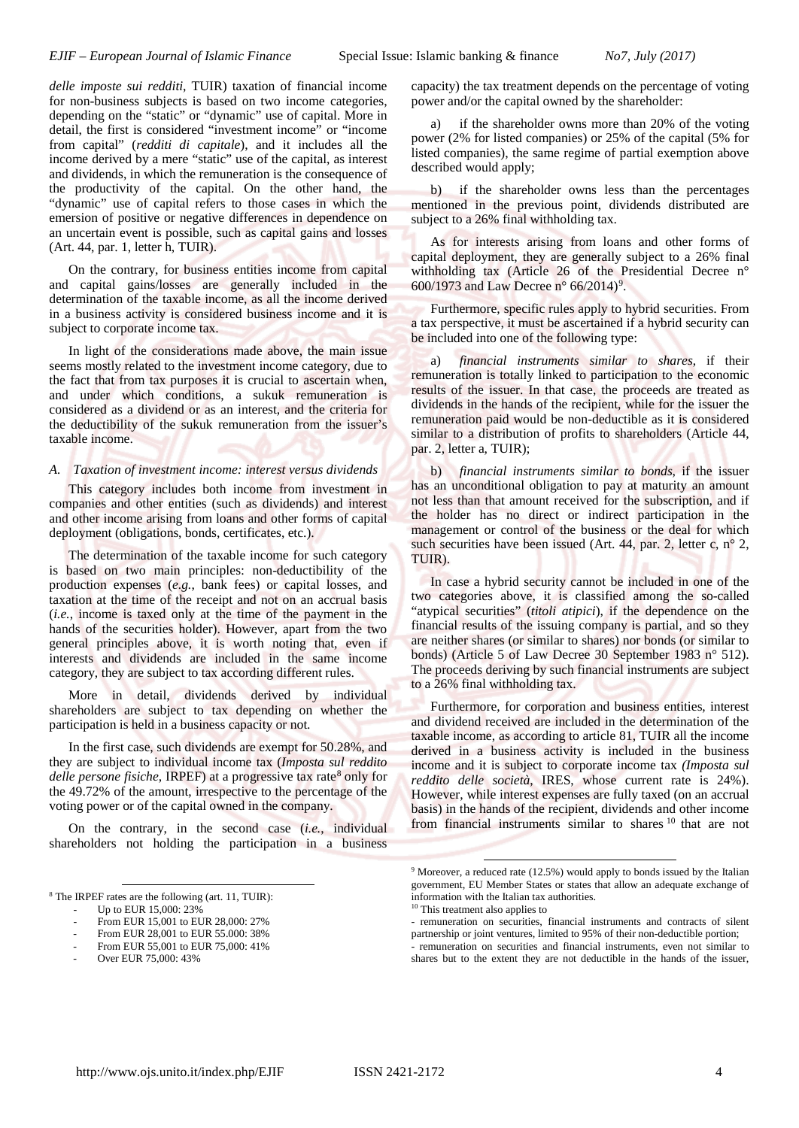*delle imposte sui redditi*, TUIR) taxation of financial income for non-business subjects is based on two income categories, depending on the "static" or "dynamic" use of capital. More in detail, the first is considered "investment income" or "income from capital" (*redditi di capitale*), and it includes all the income derived by a mere "static" use of the capital, as interest and dividends, in which the remuneration is the consequence of the productivity of the capital. On the other hand, the "dynamic" use of capital refers to those cases in which the emersion of positive or negative differences in dependence on an uncertain event is possible, such as capital gains and losses (Art. 44, par. 1, letter h, TUIR).

On the contrary, for business entities income from capital and capital gains/losses are generally included in the determination of the taxable income, as all the income derived in a business activity is considered business income and it is subject to corporate income tax.

In light of the considerations made above, the main issue seems mostly related to the investment income category, due to the fact that from tax purposes it is crucial to ascertain when, and under which conditions, a sukuk remuneration is considered as a dividend or as an interest, and the criteria for the deductibility of the sukuk remuneration from the issuer's taxable income.

### *A. Taxation of investment income: interest versus dividends*

This category includes both income from investment in companies and other entities (such as dividends) and interest and other income arising from loans and other forms of capital deployment (obligations, bonds, certificates, etc.).

The determination of the taxable income for such category is based on two main principles: non-deductibility of the production expenses (*e.g.*, bank fees) or capital losses, and taxation at the time of the receipt and not on an accrual basis (*i.e.*, income is taxed only at the time of the payment in the hands of the securities holder). However, apart from the two general principles above, it is worth noting that, even if interests and dividends are included in the same income category, they are subject to tax according different rules.

More in detail, dividends derived by individual shareholders are subject to tax depending on whether the participation is held in a business capacity or not.

In the first case, such dividends are exempt for 50.28%, and they are subject to individual income tax (*Imposta sul reddito delle persone fisiche*, IRPEF) at a progressive tax rate<sup>[8](#page-3-0)</sup> only for the 49.72% of the amount, irrespective to the percentage of the voting power or of the capital owned in the company.

On the contrary, in the second case (*i.e.*, individual shareholders not holding the participation in a business

j

From EUR 55,001 to EUR 75,000: 41%

capacity) the tax treatment depends on the percentage of voting power and/or the capital owned by the shareholder:

if the shareholder owns more than 20% of the voting power (2% for listed companies) or 25% of the capital (5% for listed companies), the same regime of partial exemption above described would apply;

b) if the shareholder owns less than the percentages mentioned in the previous point, dividends distributed are subject to a 26% final withholding tax.

As for interests arising from loans and other forms of capital deployment, they are generally subject to a 26% final withholding tax (Article 26 of the Presidential Decree n° 600/1[9](#page-3-1)73 and Law Decree n° 66/2014)<sup>9</sup>.

Furthermore, specific rules apply to hybrid securities. From a tax perspective, it must be ascertained if a hybrid security can be included into one of the following type:

a) *financial instruments similar to shares*, if their remuneration is totally linked to participation to the economic results of the issuer. In that case, the proceeds are treated as dividends in the hands of the recipient, while for the issuer the remuneration paid would be non-deductible as it is considered similar to a distribution of profits to shareholders (Article 44, par. 2, letter a, TUIR);

b) *financial instruments similar to bonds*, if the issuer has an unconditional obligation to pay at maturity an amount not less than that amount received for the subscription, and if the holder has no direct or indirect participation in the management or control of the business or the deal for which such securities have been issued (Art. 44, par. 2, letter c, n° 2, TUIR).

In case a hybrid security cannot be included in one of the two categories above, it is classified among the so-called "atypical securities" (*titoli atipici*), if the dependence on the financial results of the issuing company is partial, and so they are neither shares (or similar to shares) nor bonds (or similar to bonds) (Article 5 of Law Decree 30 September 1983 n° 512). The proceeds deriving by such financial instruments are subject to a 26% final withholding tax.

Furthermore, for corporation and business entities, interest and dividend received are included in the determination of the taxable income, as according to article 81, TUIR all the income derived in a business activity is included in the business income and it is subject to corporate income tax *(Imposta sul reddito delle società*, IRES, whose current rate is 24%). However, while interest expenses are fully taxed (on an accrual basis) in the hands of the recipient, dividends and other income from financial instruments similar to shares <sup>[10](#page-3-2)</sup> that are not

1

- remuneration on securities, financial instruments and contracts of silent partnership or joint ventures, limited to 95% of their non-deductible portion; - remuneration on securities and financial instruments, even not similar to shares but to the extent they are not deductible in the hands of the issuer,

<span id="page-3-2"></span><span id="page-3-1"></span><span id="page-3-0"></span><sup>8</sup> The IRPEF rates are the following (art. 11, TUIR):

Up to EUR 15,000: 23%

From EUR 15,001 to EUR 28,000: 27% From EUR 28,001 to EUR 55,000: 38%

Over EUR 75,000: 43%

<sup>9</sup> Moreover, a reduced rate (12.5%) would apply to bonds issued by the Italian government, EU Member States or states that allow an adequate exchange of information with the Italian tax authorities.

<sup>10</sup> This treatment also applies to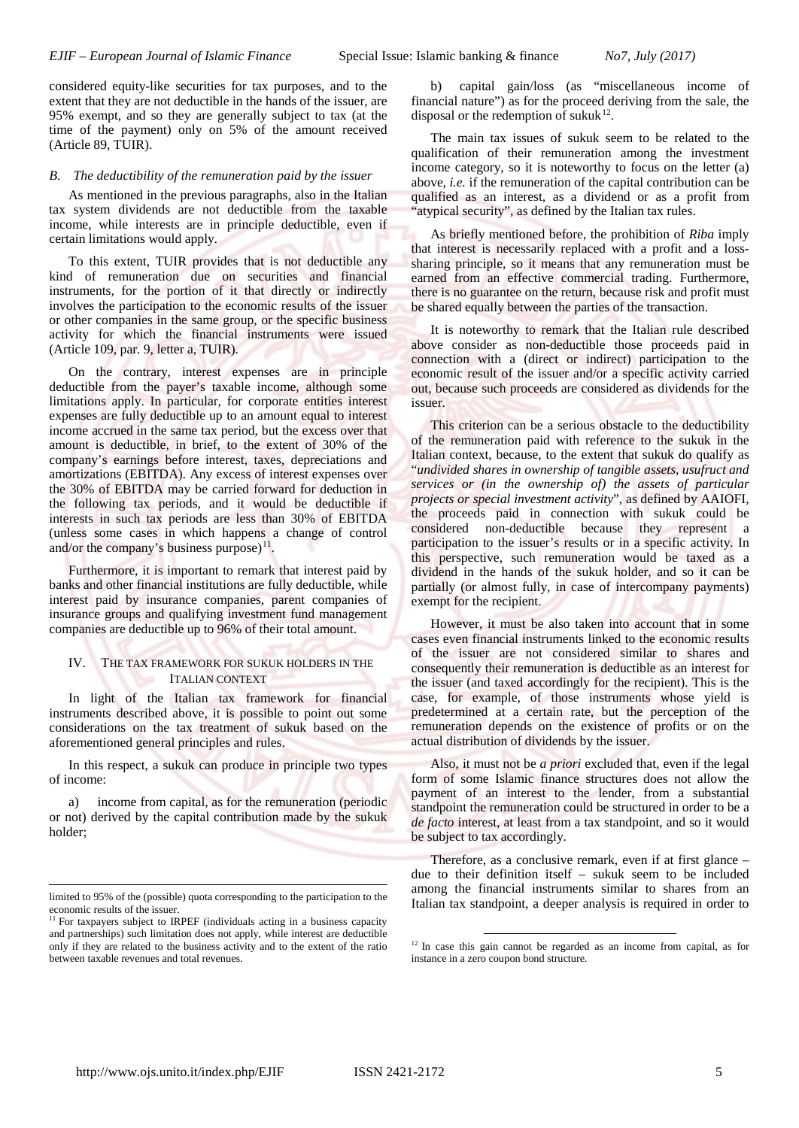considered equity-like securities for tax purposes, and to the extent that they are not deductible in the hands of the issuer, are 95% exempt, and so they are generally subject to tax (at the time of the payment) only on 5% of the amount received (Article 89, TUIR).

#### *B. The deductibility of the remuneration paid by the issuer*

As mentioned in the previous paragraphs, also in the Italian tax system dividends are not deductible from the taxable income, while interests are in principle deductible, even if certain limitations would apply.

To this extent, TUIR provides that is not deductible any kind of remuneration due on securities and financial instruments, for the portion of it that directly or indirectly involves the participation to the economic results of the issuer or other companies in the same group, or the specific business activity for which the financial instruments were issued (Article 109, par. 9, letter a, TUIR).

On the contrary, interest expenses are in principle deductible from the payer's taxable income, although some limitations apply. In particular, for corporate entities interest expenses are fully deductible up to an amount equal to interest income accrued in the same tax period, but the excess over that amount is deductible, in brief, to the extent of 30% of the company's earnings before interest, taxes, depreciations and amortizations (EBITDA). Any excess of interest expenses over the 30% of EBITDA may be carried forward for deduction in the following tax periods, and it would be deductible if interests in such tax periods are less than 30% of EBITDA (unless some cases in which happens a change of control and/or the company's business purpose) $11$ .

Furthermore, it is important to remark that interest paid by banks and other financial institutions are fully deductible, while interest paid by insurance companies, parent companies of insurance groups and qualifying investment fund management companies are deductible up to 96% of their total amount.

## IV. THE TAX FRAMEWORK FOR SUKUK HOLDERS IN THE ITALIAN CONTEXT

In light of the Italian tax framework for financial instruments described above, it is possible to point out some considerations on the tax treatment of sukuk based on the aforementioned general principles and rules.

In this respect, a sukuk can produce in principle two types of income:

a) income from capital, as for the remuneration (periodic or not) derived by the capital contribution made by the sukuk holder;

b) capital gain/loss (as "miscellaneous income of financial nature") as for the proceed deriving from the sale, the disposal or the redemption of sukuk $12$ .

The main tax issues of sukuk seem to be related to the qualification of their remuneration among the investment income category, so it is noteworthy to focus on the letter (a) above, *i.e.* if the remuneration of the capital contribution can be qualified as an interest, as a dividend or as a profit from "atypical security", as defined by the Italian tax rules.

As briefly mentioned before, the prohibition of *Riba* imply that interest is necessarily replaced with a profit and a losssharing principle, so it means that any remuneration must be earned from an effective commercial trading. Furthermore, there is no guarantee on the return, because risk and profit must be shared equally between the parties of the transaction.

It is noteworthy to remark that the Italian rule described above consider as non-deductible those proceeds paid in connection with a (direct or indirect) participation to the economic result of the issuer and/or a specific activity carried out, because such proceeds are considered as dividends for the issuer.

This criterion can be a serious obstacle to the deductibility of the remuneration paid with reference to the sukuk in the Italian context, because, to the extent that sukuk do qualify as "*undivided shares in ownership of tangible assets, usufruct and services or (in the ownership of) the assets of particular projects or special investment activity*", as defined by AAIOFI, the proceeds paid in connection with sukuk could be considered non-deductible because they represent a participation to the issuer's results or in a specific activity. In this perspective, such remuneration would be taxed as a dividend in the hands of the sukuk holder, and so it can be partially (or almost fully, in case of intercompany payments) exempt for the recipient.

However, it must be also taken into account that in some cases even financial instruments linked to the economic results of the issuer are not considered similar to shares and consequently their remuneration is deductible as an interest for the issuer (and taxed accordingly for the recipient). This is the case, for example, of those instruments whose yield is predetermined at a certain rate, but the perception of the remuneration depends on the existence of profits or on the actual distribution of dividends by the issuer.

Also, it must not be *a priori* excluded that, even if the legal form of some Islamic finance structures does not allow the payment of an interest to the lender, from a substantial standpoint the remuneration could be structured in order to be a *de facto* interest, at least from a tax standpoint, and so it would be subject to tax accordingly.

Therefore, as a conclusive remark, even if at first glance – due to their definition itself – sukuk seem to be included among the financial instruments similar to shares from an Italian tax standpoint, a deeper analysis is required in order to

1

j

limited to 95% of the (possible) quota corresponding to the participation to the economic results of the issuer.

<span id="page-4-1"></span><span id="page-4-0"></span><sup>&</sup>lt;sup>11</sup> For taxpayers subject to IRPEF (individuals acting in a business capacity and partnerships) such limitation does not apply, while interest are deductible only if they are related to the business activity and to the extent of the ratio between taxable revenues and total revenues.

<sup>&</sup>lt;sup>12</sup> In case this gain cannot be regarded as an income from capital, as for instance in a zero coupon bond structure.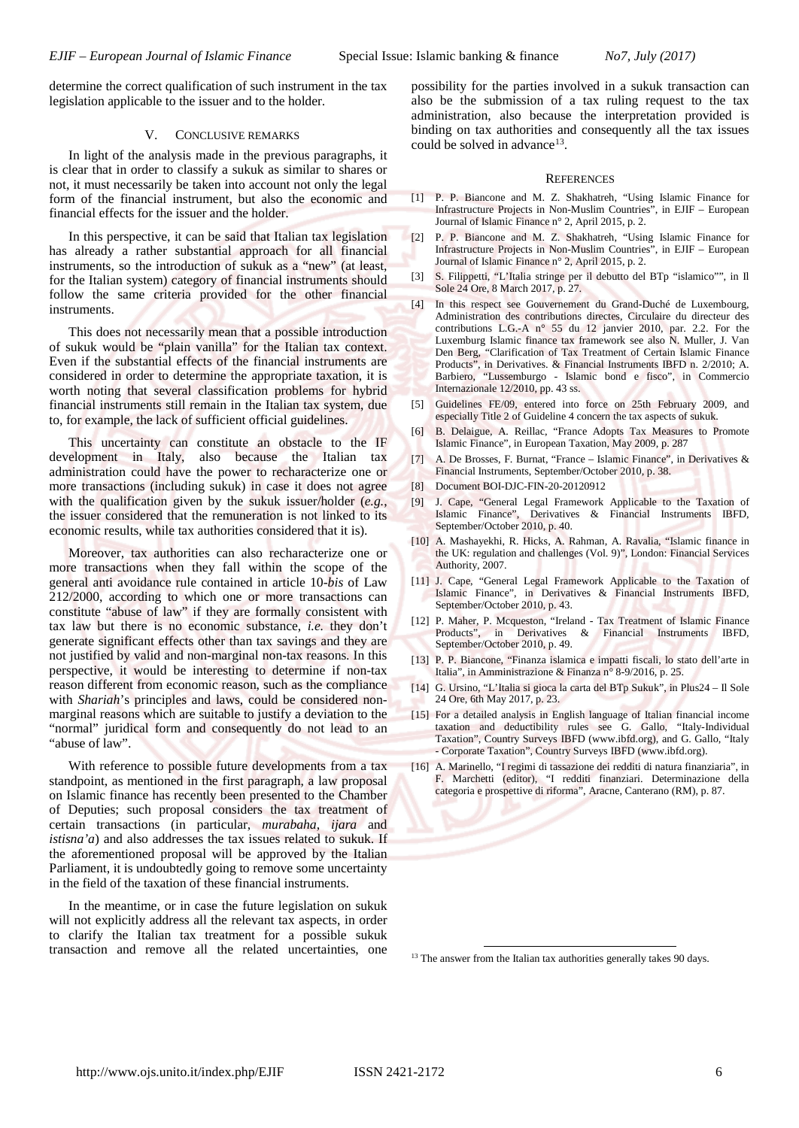determine the correct qualification of such instrument in the tax legislation applicable to the issuer and to the holder.

#### V. CONCLUSIVE REMARKS

In light of the analysis made in the previous paragraphs, it is clear that in order to classify a sukuk as similar to shares or not, it must necessarily be taken into account not only the legal form of the financial instrument, but also the economic and financial effects for the issuer and the holder.

In this perspective, it can be said that Italian tax legislation has already a rather substantial approach for all financial instruments, so the introduction of sukuk as a "new" (at least, for the Italian system) category of financial instruments should follow the same criteria provided for the other financial instruments.

This does not necessarily mean that a possible introduction of sukuk would be "plain vanilla" for the Italian tax context. Even if the substantial effects of the financial instruments are considered in order to determine the appropriate taxation, it is worth noting that several classification problems for hybrid financial instruments still remain in the Italian tax system, due to, for example, the lack of sufficient official guidelines.

This uncertainty can constitute an obstacle to the IF development in Italy, also because the Italian tax administration could have the power to recharacterize one or more transactions (including sukuk) in case it does not agree with the qualification given by the sukuk issuer/holder (*e.g.*, the issuer considered that the remuneration is not linked to its economic results, while tax authorities considered that it is).

Moreover, tax authorities can also recharacterize one or more transactions when they fall within the scope of the general anti avoidance rule contained in article 10-*bis* of Law 212/2000, according to which one or more transactions can constitute "abuse of law" if they are formally consistent with tax law but there is no economic substance, *i.e.* they don't generate significant effects other than tax savings and they are not justified by valid and non-marginal non-tax reasons. In this perspective, it would be interesting to determine if non-tax reason different from economic reason, such as the compliance with *Shariah*'s principles and laws, could be considered nonmarginal reasons which are suitable to justify a deviation to the "normal" juridical form and consequently do not lead to an "abuse of law".

With reference to possible future developments from a tax standpoint, as mentioned in the first paragraph, a law proposal on Islamic finance has recently been presented to the Chamber of Deputies; such proposal considers the tax treatment of certain transactions (in particular, *murabaha*, *ijara* and *istisna'a*) and also addresses the tax issues related to sukuk. If the aforementioned proposal will be approved by the Italian Parliament, it is undoubtedly going to remove some uncertainty in the field of the taxation of these financial instruments.

<span id="page-5-0"></span>In the meantime, or in case the future legislation on sukuk will not explicitly address all the relevant tax aspects, in order to clarify the Italian tax treatment for a possible sukuk transaction and remove all the related uncertainties, one possibility for the parties involved in a sukuk transaction can also be the submission of a tax ruling request to the tax administration, also because the interpretation provided is binding on tax authorities and consequently all the tax issues could be solved in advance<sup>13</sup>.

#### **REFERENCES**

- [1] P. P. Biancone and M. Z. Shakhatreh, "Using Islamic Finance for Infrastructure Projects in Non-Muslim Countries", in EJIF – European Journal of Islamic Finance n° 2, April 2015, p. 2.
- [2] P. P. Biancone and M. Z. Shakhatreh, "Using Islamic Finance for Infrastructure Projects in Non-Muslim Countries", in EJIF – European Journal of Islamic Finance n° 2, April 2015, p. 2.
	- [3] S. Filippetti, "L'Italia stringe per il debutto del BTp "islamico"", in Il Sole 24 Ore, 8 March 2017, p. 27.
	- [4] In this respect see Gouvernement du Grand-Duché de Luxembourg, Administration des contributions directes, Circulaire du directeur des contributions L.G.-A n° 55 du 12 janvier 2010, par. 2.2. For the Luxemburg Islamic finance tax framework see also N. Muller, J. Van Den Berg, "Clarification of Tax Treatment of Certain Islamic Finance Products", in Derivatives. & Financial Instruments IBFD n. 2/2010; A. Barbiero, "Lussemburgo - Islamic bond e fisco", in Commercio Internazionale 12/2010, pp. 43 ss.
	- [5] Guidelines FE/09, entered into force on 25th February 2009, and especially Title 2 of Guideline 4 concern the tax aspects of sukuk.
	- [6] B. Delaigue, A. Reillac, "France Adopts Tax Measures to Promote Islamic Finance", in European Taxation, May 2009, p. 287
	- [7] A. De Brosses, F. Burnat, "France Islamic Finance", in Derivatives & Financial Instruments, September/October 2010, p. 38.
	- [8] Document BOI-DJC-FIN-20-20120912
	- [9] J. Cape, "General Legal Framework Applicable to the Taxation of Islamic Finance", Derivatives & Financial Instruments IBFD, September/October 2010, p. 40.
- [10] A. Mashayekhi, R. Hicks, A. Rahman, A. Ravalia, "Islamic finance in the UK: regulation and challenges (Vol. 9)", London: Financial Services Authority, 2007.
- [11] J. Cape, "General Legal Framework Applicable to the Taxation of Islamic Finance", in Derivatives & Financial Instruments IBFD, September/October 2010, p. 43.
- [12] P. Maher, P. Mcqueston, "Ireland Tax Treatment of Islamic Finance Products", in Derivatives & Financial Instruments IBFD, September/October 2010, p. 49.
- [13] P. P. Biancone, "Finanza islamica e impatti fiscali, lo stato dell'arte in Italia", in Amministrazione & Finanza n° 8-9/2016, p. 25.
- [14] G. Ursino, "L'Italia si gioca la carta del BTp Sukuk", in Plus24 Il Sole 24 Ore, 6th May 2017, p. 23.
- [15] For a detailed analysis in English language of Italian financial income taxation and deductibility rules see G. Gallo, "Italy-Individual Taxation", Country Surveys IBFD (www.ibfd.org), and G. Gallo, "Italy - Corporate Taxation", Country Surveys IBFD (www.ibfd.org).
- [16] A. Marinello, "I regimi di tassazione dei redditi di natura finanziaria", in F. Marchetti (editor), "I redditi finanziari. Determinazione della categoria e prospettive di riforma", Aracne, Canterano (RM), p. 87.

<sup>13</sup> The answer from the Italian tax authorities generally takes 90 days.

1